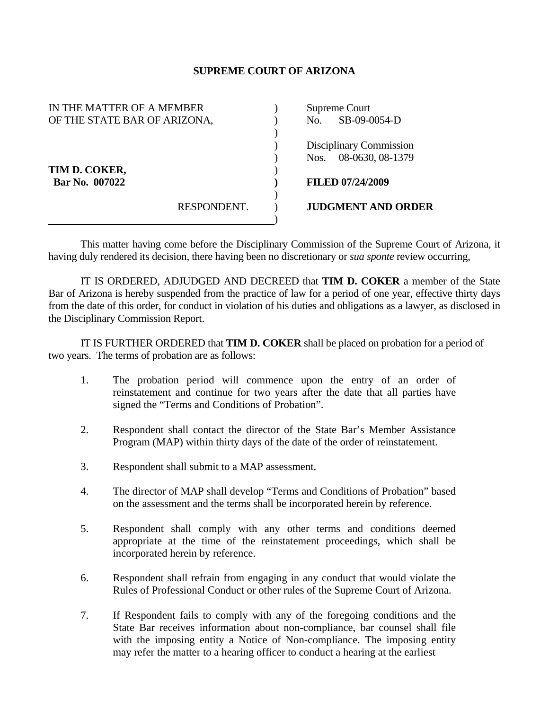## **SUPREME COURT OF ARIZONA**

| IN THE MATTER OF A MEMBER    |             | Supreme Court           |                           |
|------------------------------|-------------|-------------------------|---------------------------|
| OF THE STATE BAR OF ARIZONA, |             | No.                     | SB-09-0054-D              |
|                              |             |                         |                           |
| TIM D. COKER,                |             | Disciplinary Commission |                           |
|                              |             | Nos.                    | 08-0630, 08-1379          |
|                              |             |                         |                           |
| Bar No. 007022               |             |                         | <b>FILED 07/24/2009</b>   |
|                              |             |                         |                           |
|                              | RESPONDENT. |                         | <b>JUDGMENT AND ORDER</b> |
|                              |             |                         |                           |

 This matter having come before the Disciplinary Commission of the Supreme Court of Arizona, it having duly rendered its decision, there having been no discretionary or *sua sponte* review occurring,

 IT IS ORDERED, ADJUDGED AND DECREED that **TIM D. COKER** a member of the State Bar of Arizona is hereby suspended from the practice of law for a period of one year, effective thirty days from the date of this order, for conduct in violation of his duties and obligations as a lawyer, as disclosed in the Disciplinary Commission Report.

 IT IS FURTHER ORDERED that **TIM D. COKER** shall be placed on probation for a period of two years. The terms of probation are as follows:

- 1. The probation period will commence upon the entry of an order of reinstatement and continue for two years after the date that all parties have signed the "Terms and Conditions of Probation".
- 2. Respondent shall contact the director of the State Bar's Member Assistance Program (MAP) within thirty days of the date of the order of reinstatement.
- 3. Respondent shall submit to a MAP assessment.
- 4. The director of MAP shall develop "Terms and Conditions of Probation" based on the assessment and the terms shall be incorporated herein by reference.
- 5. Respondent shall comply with any other terms and conditions deemed appropriate at the time of the reinstatement proceedings, which shall be incorporated herein by reference.
- 6. Respondent shall refrain from engaging in any conduct that would violate the Rules of Professional Conduct or other rules of the Supreme Court of Arizona.
- 7. If Respondent fails to comply with any of the foregoing conditions and the State Bar receives information about non-compliance, bar counsel shall file with the imposing entity a Notice of Non-compliance. The imposing entity may refer the matter to a hearing officer to conduct a hearing at the earliest